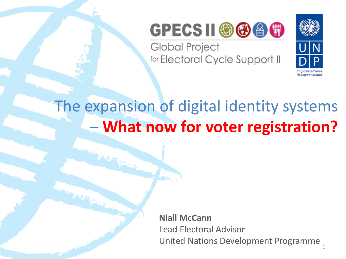

Global Project for Electoral Cycle Support II



1

#### The expansion of digital identity systems – **What now for voter registration?**

**Niall McCann** Lead Electoral Advisor United Nations Development Programme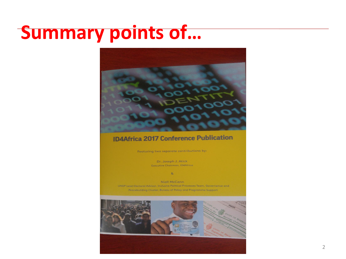#### **Summary points of…**



#### **ID4Africa 2017 Conference Publication**

Featuring two separate contributions by:

Dr. Joseph J. Atick Executive Chairman, ID4Africa

 $8<sub>1</sub>$ 

Niall McCann UNDP-Lead Electoral Advisor, Inclusive Political Processes Team, Governance and Peacebuilding Cluster, Bureau of Policy and Programme Support

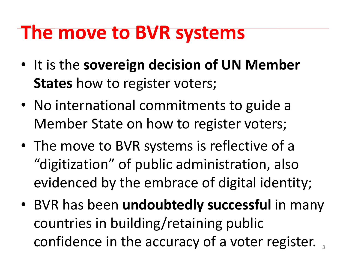## **The move to BVR systems**

- It is the **sovereign decision of UN Member States** how to register voters;
- No international commitments to guide a Member State on how to register voters;
- The move to BVR systems is reflective of a "digitization" of public administration, also evidenced by the embrace of digital identity;
- BVR has been **undoubtedly successful** in many countries in building/retaining public confidence in the accuracy of a voter register.  $_3$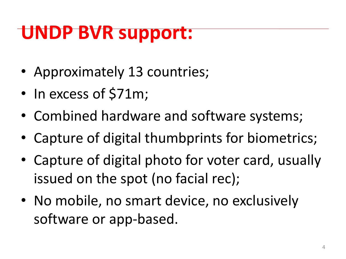# **UNDP BVR support:**

- Approximately 13 countries;
- In excess of \$71m;
- Combined hardware and software systems;
- Capture of digital thumbprints for biometrics;
- Capture of digital photo for voter card, usually issued on the spot (no facial rec);
- No mobile, no smart device, no exclusively software or app-based.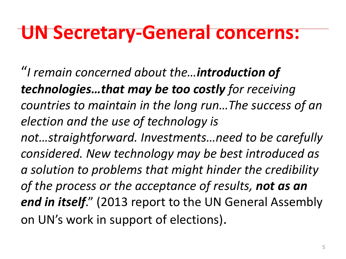## **UN Secretary-General concerns:**

"*I remain concerned about the…introduction of technologies…that may be too costly for receiving countries to maintain in the long run…The success of an election and the use of technology is not…straightforward. Investments…need to be carefully considered. New technology may be best introduced as a solution to problems that might hinder the credibility of the process or the acceptance of results, not as an end in itself*." (2013 report to the UN General Assembly on UN's work in support of elections).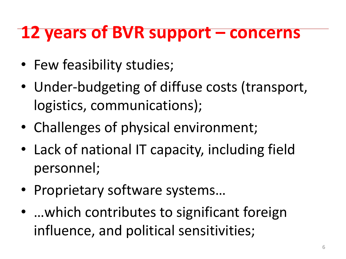#### **12 years of BVR support – concerns**

- Few feasibility studies;
- Under-budgeting of diffuse costs (transport, logistics, communications);
- Challenges of physical environment;
- Lack of national IT capacity, including field personnel;
- Proprietary software systems…
- ... which contributes to significant foreign influence, and political sensitivities;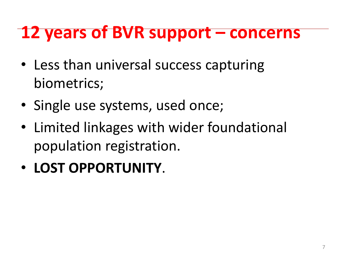### **12 years of BVR support – concerns**

- Less than universal success capturing biometrics;
- Single use systems, used once;
- Limited linkages with wider foundational population registration.
- **LOST OPPORTUNITY**.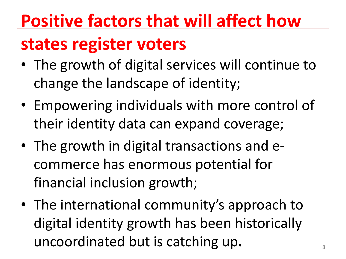# **Positive factors that will affect how states register voters**

- The growth of digital services will continue to change the landscape of identity;
- Empowering individuals with more control of their identity data can expand coverage;
- The growth in digital transactions and e commerce has enormous potential for financial inclusion growth;
- The international community's approach to digital identity growth has been historically uncoordinated but is catching up.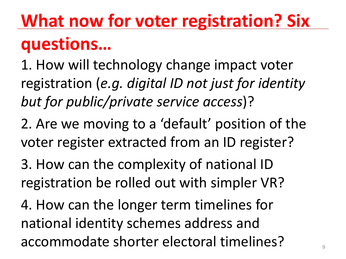# **What now for voter registration? Six questions…**

1. How will technology change impact voter registration (*e.g. digital ID not just for identity but for public/private service access*)?

2. Are we moving to a 'default' position of the voter register extracted from an ID register?

3. How can the complexity of national ID registration be rolled out with simpler VR?

4. How can the longer term timelines for national identity schemes address and accommodate shorter electoral timelines?